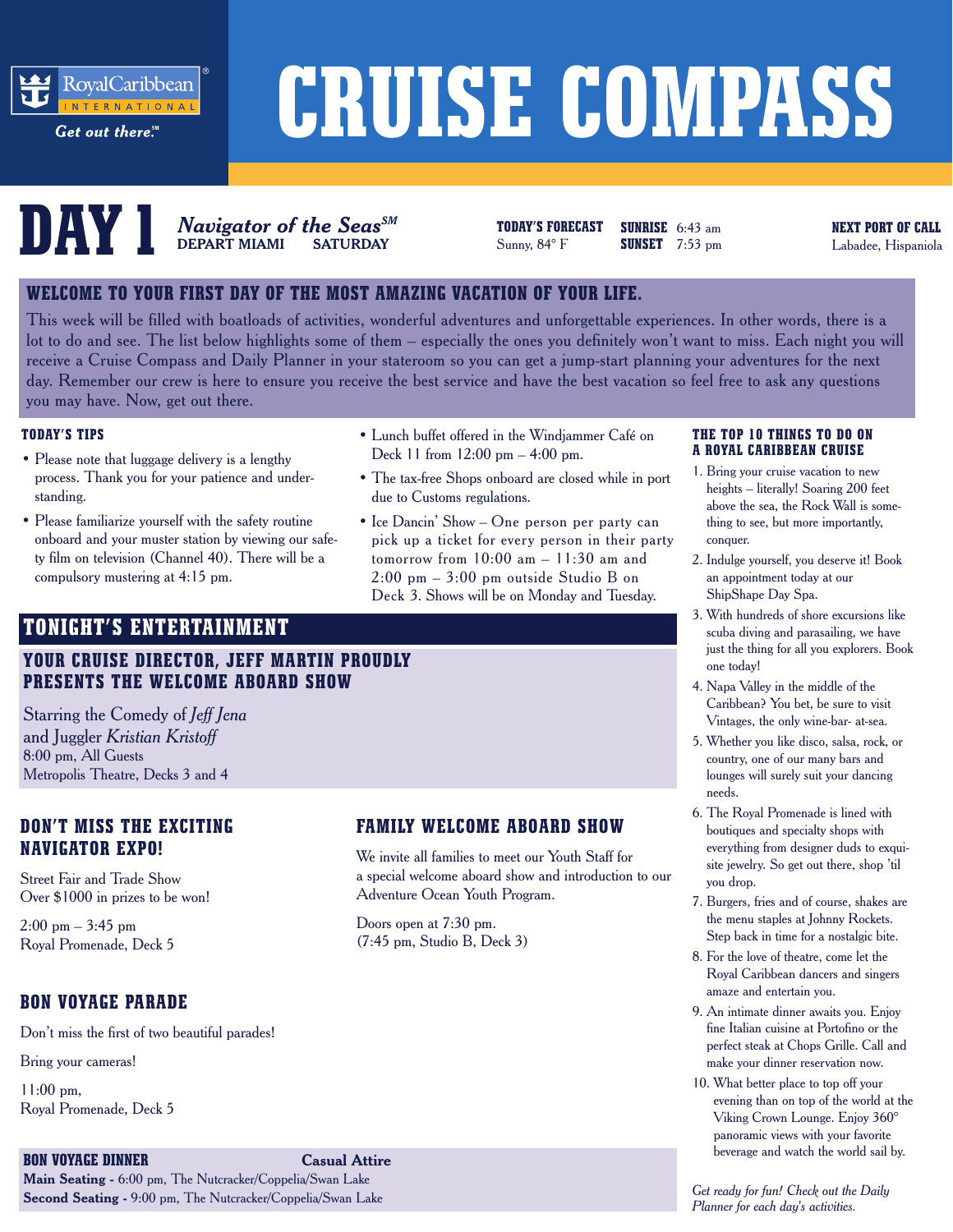

Get out there.<sup>5M</sup>

# **CRUISE COMPASS**



**DEPART MIAMI SATURDAY** Sunny, 84° F **NEXT PORT OF CALL**<br>DEPART MIAMI SATURDAY SUNNY, 84° F SUNSET 7:53 pm Labadee, Hispaniola *Navigator of the SeasSM*

**TODAY'S FORECAST SUNRISE** 6:43 am **SUNSET** 7:53 pm

#### **WELCOME TO YOUR FIRST DAY OF THE MOST AMAZING VACATION OF YOUR LIFE.**

This week will be filled with boatloads of activities, wonderful adventures and unforgettable experiences. In other words, there is a lot to do and see. The list below highlights some of them – especially the ones you definitely won't want to miss. Each night you will receive a Cruise Compass and Daily Planner in your stateroom so you can get a jump-start planning your adventures for the next day. Remember our crew is here to ensure you receive the best service and have the best vacation so feel free to ask any questions you may have. Now, get out there.

#### **TODAY'S TIPS**

- Please note that luggage delivery is a lengthy process. Thank you for your patience and understanding.
- Please familiarize yourself with the safety routine onboard and your muster station by viewing our safety film on television (Channel 40). There will be a compulsory mustering at 4:15 pm.
- Lunch buffet offered in the Windjammer Café on Deck 11 from 12:00 pm – 4:00 pm.
- The tax-free Shops onboard are closed while in port due to Customs regulations.
- Ice Dancin' Show One person per party can pick up a ticket for every person in their party tomorrow from  $10:00$  am  $-11:30$  am and 2:00 pm – 3:00 pm outside Studio B on Deck 3. Shows will be on Monday and Tuesday.

#### **TONIGHT'S ENTERTAINMENT**

#### **YOUR CRUISE DIRECTOR, JEFF MARTIN PROUDLY PRESENTS THE WELCOME ABOARD SHOW**

Starring the Comedy of *Jeff Jena* and Juggler *Kristian Kristoff* 8:00 pm, All Guests Metropolis Theatre, Decks 3 and 4

#### **DON'T MISS THE EXCITING NAVIGATOR EXPO!**

Street Fair and Trade Show Over \$1000 in prizes to be won!

 $2:00 \text{ pm} - 3:45 \text{ pm}$ Royal Promenade, Deck 5

#### **BON VOYAGE PARADE**

Don't miss the first of two beautiful parades!

Bring your cameras!

11:00 pm, Royal Promenade, Deck 5

#### **BON VOYAGE DINNER Casual Attire Main Seating -** 6:00 pm, The Nutcracker/Coppelia/Swan Lake **Second Seating -** 9:00 pm, The Nutcracker/Coppelia/Swan Lake

#### **FAMILY WELCOME ABOARD SHOW**

We invite all families to meet our Youth Staff for a special welcome aboard show and introduction to our Adventure Ocean Youth Program.

Doors open at 7:30 pm. (7:45 pm, Studio B, Deck 3)

#### **THE TOP 10 THINGS TO DO ON A ROYAL CARIBBEAN CRUISE**

- 1. Bring your cruise vacation to new heights – literally! Soaring 200 feet above the sea, the Rock Wall is something to see, but more importantly, conquer.
- 2. Indulge yourself, you deserve it! Book an appointment today at our ShipShape Day Spa.
- 3. With hundreds of shore excursions like scuba diving and parasailing, we have just the thing for all you explorers. Book one today!
- 4. Napa Valley in the middle of the Caribbean? You bet, be sure to visit Vintages, the only wine-bar- at-sea.
- 5. Whether you like disco, salsa, rock, or country, one of our many bars and lounges will surely suit your dancing needs.
- 6. The Royal Promenade is lined with boutiques and specialty shops with everything from designer duds to exquisite jewelry. So get out there, shop 'til you drop.
- 7. Burgers, fries and of course, shakes are the menu staples at Johnny Rockets. Step back in time for a nostalgic bite.
- 8. For the love of theatre, come let the Royal Caribbean dancers and singers amaze and entertain you.
- 9. An intimate dinner awaits you. Enjoy fine Italian cuisine at Portofino or the perfect steak at Chops Grille. Call and make your dinner reservation now.
- 10. What better place to top off your evening than on top of the world at the Viking Crown Lounge. Enjoy 360° panoramic views with your favorite beverage and watch the world sail by.

*Get ready for fun! Check out the Daily Planner for each day's activities.*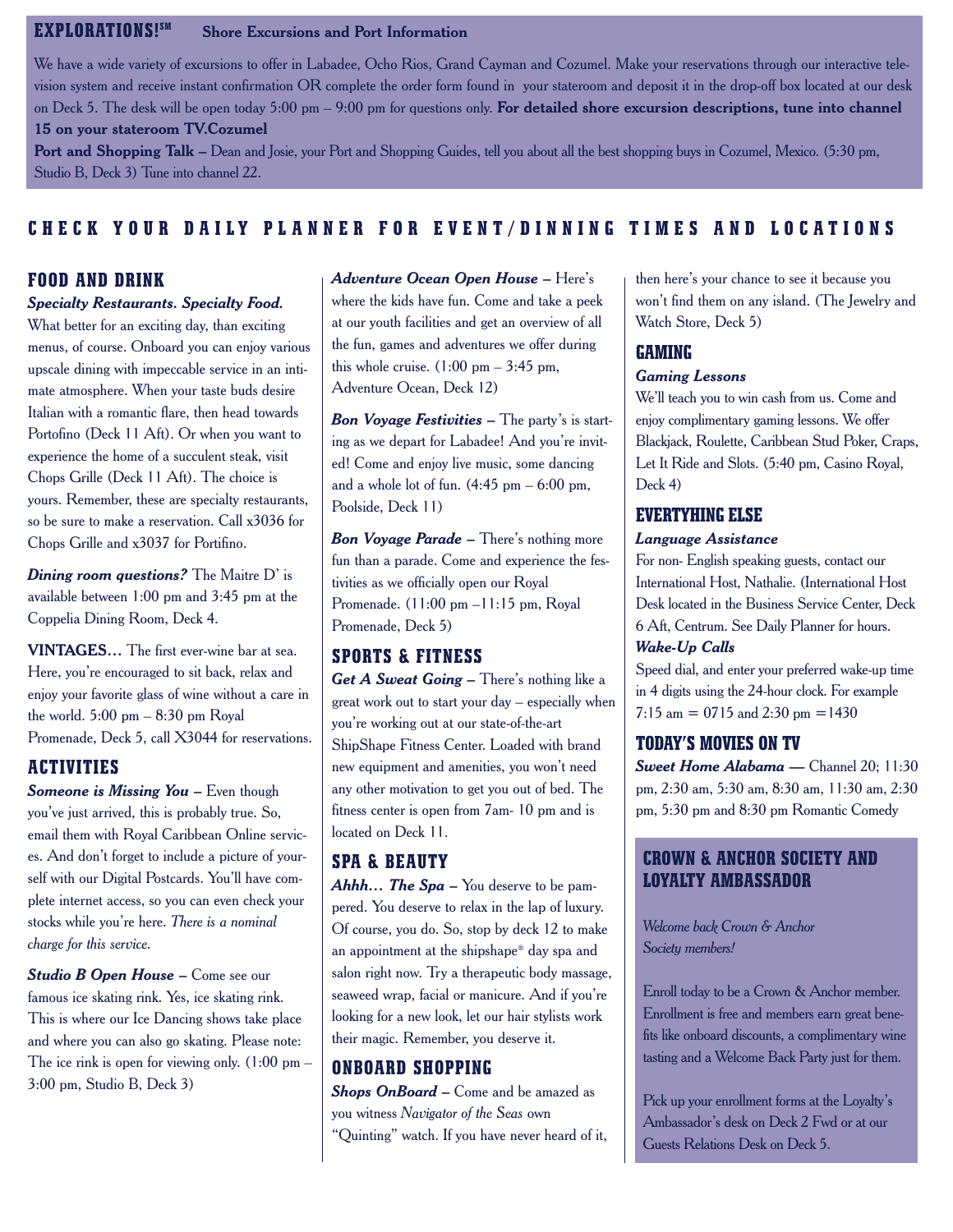#### **EXPLORATIONS!SM Shore Excursions and Port Information**

We have a wide variety of excursions to offer in Labadee, Ocho Rios, Grand Cayman and Cozumel. Make your reservations through our interactive television system and receive instant confirmation OR complete the order form found in your stateroom and deposit it in the drop-off box located at our desk on Deck 5. The desk will be open today 5:00 pm – 9:00 pm for questions only. **For detailed shore excursion descriptions, tune into channel 15 on your stateroom TV.Cozumel** 

**Port and Shopping Talk –** Dean and Josie, your Port and Shopping Guides, tell you about all the best shopping buys in Cozumel, Mexico. (5:30 pm, Studio B, Deck 3) Tune into channel 22.

#### **CHECK YOUR DAILY PLANNER FOR EVENT/DINNING TIMES AND LOCATIONS**

#### **FOOD AND DRINK**

#### *Specialty Restaurants. Specialty Food.*

What better for an exciting day, than exciting menus, of course. Onboard you can enjoy various upscale dining with impeccable service in an intimate atmosphere. When your taste buds desire Italian with a romantic flare, then head towards Portofino (Deck 11 Aft). Or when you want to experience the home of a succulent steak, visit Chops Grille (Deck 11 Aft). The choice is yours. Remember, these are specialty restaurants, so be sure to make a reservation. Call x3036 for Chops Grille and x3037 for Portifino.

*Dining room questions?* The Maitre D' is available between 1:00 pm and 3:45 pm at the Coppelia Dining Room, Deck 4.

**VINTAGES…** The first ever-wine bar at sea. Here, you're encouraged to sit back, relax and enjoy your favorite glass of wine without a care in the world.  $5:00 \text{ pm} - 8:30 \text{ pm}$  Royal Promenade, Deck 5, call X3044 for reservations.

#### **ACTIVITIES**

*Someone is Missing You – Even though* you've just arrived, this is probably true. So, email them with Royal Caribbean Online services. And don't forget to include a picture of yourself with our Digital Postcards. You'll have complete internet access, so you can even check your stocks while you're here. *There is a nominal charge for this service.* 

*Studio B Open House – Come see our* famous ice skating rink. Yes, ice skating rink. This is where our Ice Dancing shows take place and where you can also go skating. Please note: The ice rink is open for viewing only.  $(1:00 \text{ pm} -$ 3:00 pm, Studio B, Deck 3)

*Adventure Ocean Open House* **–** Here's where the kids have fun. Come and take a peek at our youth facilities and get an overview of all the fun, games and adventures we offer during this whole cruise.  $(1:00 \text{ pm} - 3:45 \text{ pm}$ , Adventure Ocean, Deck 12)

*Bon Voyage Festivities* – The party's is starting as we depart for Labadee! And you're invited! Come and enjoy live music, some dancing and a whole lot of fun.  $(4:45 \text{ pm} - 6:00 \text{ pm}$ , Poolside, Deck 11)

*Bon Voyage Parade* – There's nothing more fun than a parade. Come and experience the festivities as we officially open our Royal Promenade. (11:00 pm –11:15 pm, Royal Promenade, Deck 5)

#### **SPORTS & FITNESS**

Get A Sweat Going – There's nothing like a great work out to start your day – especially when you're working out at our state-of-the-art ShipShape Fitness Center. Loaded with brand new equipment and amenities, you won't need any other motivation to get you out of bed. The fitness center is open from 7am- 10 pm and is located on Deck 11.

#### **SPA & BEAUTY**

**Ahhh...** The Spa – You deserve to be pampered. You deserve to relax in the lap of luxury. Of course, you do. So, stop by deck 12 to make an appointment at the shipshape® day spa and salon right now. Try a therapeutic body massage, seaweed wrap, facial or manicure. And if you're looking for a new look, let our hair stylists work their magic. Remember, you deserve it.

#### **ONBOARD SHOPPING**

*Shops OnBoard –* Come and be amazed as you witness *Navigator of the Seas* own "Quinting" watch. If you have never heard of it, then here's your chance to see it because you won't find them on any island. (The Jewelry and Watch Store, Deck 5)

#### **GAMING**

#### *Gaming Lessons*

We'll teach you to win cash from us. Come and enjoy complimentary gaming lessons. We offer Blackjack, Roulette, Caribbean Stud Poker, Craps, Let It Ride and Slots. (5:40 pm, Casino Royal, Deck 4)

#### **EVERTYHING ELSE**

#### *Language Assistance*

For non- English speaking guests, contact our International Host, Nathalie. (International Host Desk located in the Business Service Center, Deck 6 Aft, Centrum. See Daily Planner for hours. *Wake-Up Calls* 

Speed dial, and enter your preferred wake-up time in 4 digits using the 24-hour clock. For example 7:15 am = 0715 and 2:30 pm =  $1430$ 

#### **TODAY'S MOVIES ON TV**

*Sweet Home Alabama* **—** Channel 20; 11:30 pm, 2:30 am, 5:30 am, 8:30 am, 11:30 am, 2:30 pm, 5:30 pm and 8:30 pm Romantic Comedy

#### **CROWN & ANCHOR SOCIETY AND LOYALTY AMBASSADOR**

*Welcome back Crown & Anchor Society members!*

Enroll today to be a Crown & Anchor member. Enrollment is free and members earn great benefits like onboard discounts, a complimentary wine tasting and a Welcome Back Party just for them.

Pick up your enrollment forms at the Loyalty's Ambassador's desk on Deck 2 Fwd or at our Guests Relations Desk on Deck 5.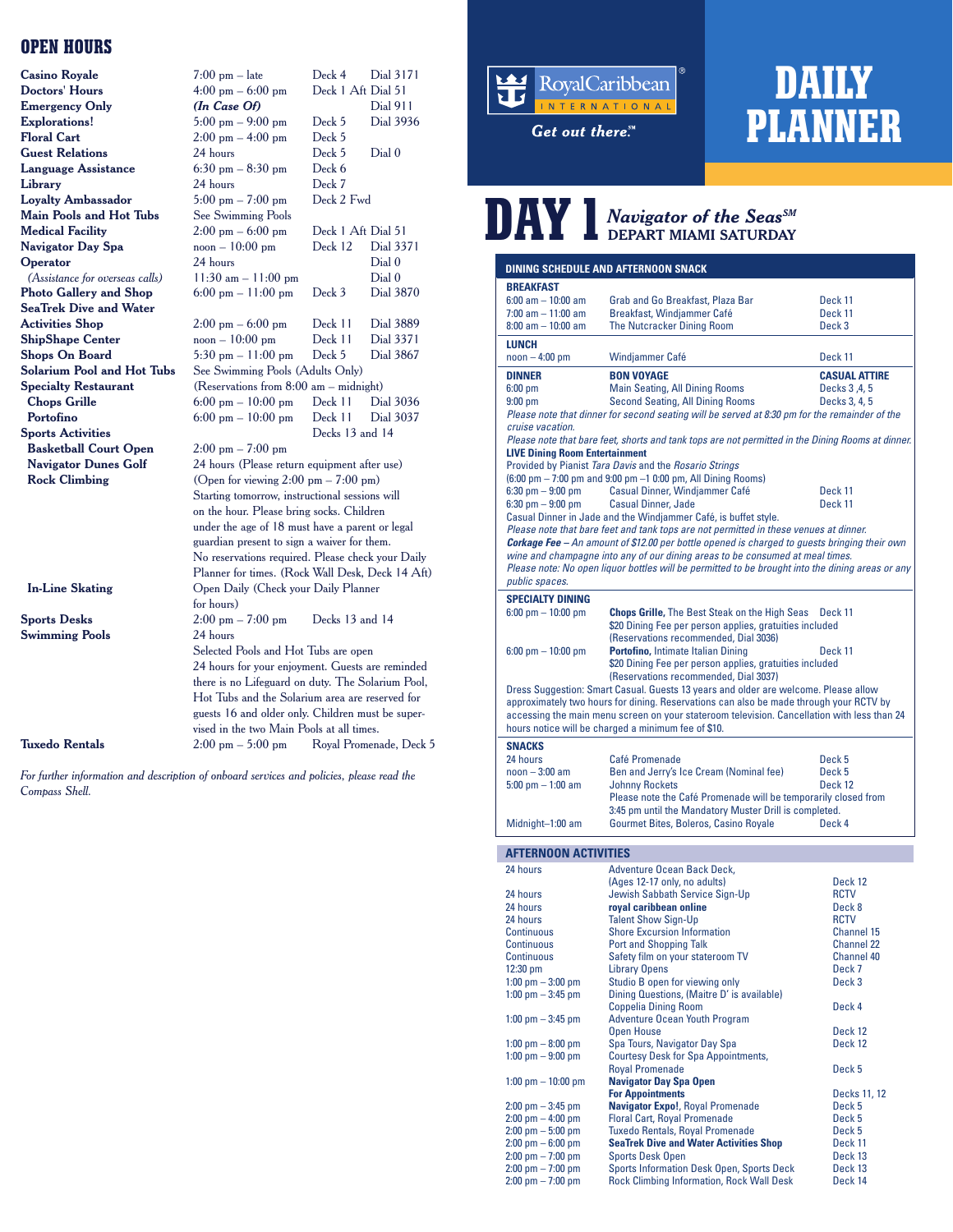#### **OPEN HOURS**

|                                   |                                                                                                | Deck 4             | Dial 3171               |
|-----------------------------------|------------------------------------------------------------------------------------------------|--------------------|-------------------------|
| <b>Casino Royale</b>              | $7:00$ pm $-$ late                                                                             | Deck 1 Aft Dial 51 |                         |
| <b>Doctors' Hours</b>             | $4:00$ pm $-6:00$ pm                                                                           |                    |                         |
| <b>Emergency Only</b>             | (In Case Of)                                                                                   |                    | <b>Dial 911</b>         |
| <b>Explorations!</b>              | $5:00 \text{ pm} - 9:00 \text{ pm}$                                                            | Deck 5             | Dial 3936               |
| <b>Floral Cart</b>                | $2:00 \text{ pm} - 4:00 \text{ pm}$                                                            | Deck 5             |                         |
| <b>Guest Relations</b>            | 24 hours                                                                                       | Deck 5             | Dial <sub>0</sub>       |
| <b>Language Assistance</b>        | $6:30$ pm $-8:30$ pm                                                                           | Deck 6             |                         |
| Library                           | 24 hours                                                                                       | Deck 7             |                         |
| <b>Loyalty Ambassador</b>         | $5:00$ pm $- 7:00$ pm                                                                          | Deck 2 Fwd         |                         |
| <b>Main Pools and Hot Tubs</b>    | <b>See Swimming Pools</b>                                                                      |                    |                         |
| <b>Medical Facility</b>           | $2:00 \text{ pm} - 6:00 \text{ pm}$                                                            | Deck 1 Aft Dial 51 |                         |
| <b>Navigator Day Spa</b>          | $\text{noon} - 10:00 \text{ pm}$                                                               | Deck 12            | Dial 3371               |
| Operator                          | 24 hours                                                                                       |                    | Dial <sub>0</sub>       |
| (Assistance for overseas calls)   | $11:30$ am $-11:00$ pm                                                                         |                    | Dial <sub>0</sub>       |
| <b>Photo Gallery and Shop</b>     | $6:00 \text{ pm} - 11:00 \text{ pm}$                                                           | Deck 3             | Dial 3870               |
| <b>SeaTrek Dive and Water</b>     |                                                                                                |                    |                         |
| <b>Activities Shop</b>            | $2:00 \text{ pm} - 6:00 \text{ pm}$                                                            | Deck 11            | Dial 3889               |
| <b>ShipShape Center</b>           | $noon - 10:00$ pm                                                                              | Deck 11            | Dial 3371               |
| <b>Shops On Board</b>             | 5:30 pm $-11:00$ pm                                                                            | Deck 5             | Dial 3867               |
| <b>Solarium Pool and Hot Tubs</b> | See Swimming Pools (Adults Only)                                                               |                    |                         |
| <b>Specialty Restaurant</b>       | (Reservations from $8:00$ am $-$ midnight)                                                     |                    |                         |
| <b>Chops Grille</b>               | $6:00 \text{ pm} - 10:00 \text{ pm}$                                                           | Deck 11            | Dial 3036               |
| Portofino                         | $6:00 \text{ pm} - 10:00 \text{ pm}$                                                           | Deck 11            | Dial 3037               |
| <b>Sports Activities</b>          |                                                                                                | Decks 13 and 14    |                         |
| <b>Basketball Court Open</b>      | $2:00 \text{ pm} - 7:00 \text{ pm}$                                                            |                    |                         |
| <b>Navigator Dunes Golf</b>       | 24 hours (Please return equipment after use)                                                   |                    |                         |
| <b>Rock Climbing</b>              | (Open for viewing $2:00 \text{ pm} - 7:00 \text{ pm}$ )                                        |                    |                         |
|                                   | Starting tomorrow, instructional sessions will                                                 |                    |                         |
|                                   | on the hour. Please bring socks. Children                                                      |                    |                         |
|                                   | under the age of 18 must have a parent or legal                                                |                    |                         |
|                                   | guardian present to sign a waiver for them.                                                    |                    |                         |
|                                   | No reservations required. Please check your Daily                                              |                    |                         |
|                                   | Planner for times. (Rock Wall Desk, Deck 14 Aft)                                               |                    |                         |
| <b>In-Line Skating</b>            | Open Daily (Check your Daily Planner                                                           |                    |                         |
|                                   | for hours)                                                                                     |                    |                         |
| <b>Sports Desks</b>               | $2:00 \text{ pm} - 7:00 \text{ pm}$                                                            | Decks 13 and 14    |                         |
| <b>Swimming Pools</b>             | 24 hours                                                                                       |                    |                         |
|                                   |                                                                                                |                    |                         |
|                                   | Selected Pools and Hot Tubs are open                                                           |                    |                         |
|                                   | 24 hours for your enjoyment. Guests are reminded                                               |                    |                         |
|                                   | there is no Lifeguard on duty. The Solarium Pool,                                              |                    |                         |
|                                   | Hot Tubs and the Solarium area are reserved for                                                |                    |                         |
|                                   | guests 16 and older only. Children must be super-<br>vised in the two Main Pools at all times. |                    |                         |
|                                   |                                                                                                |                    |                         |
| <b>Tuxedo Rentals</b>             | $2:00 \text{ pm} - 5:00 \text{ pm}$                                                            |                    | Royal Promenade, Deck 5 |

*For further information and description of onboard services and policies, please read the Compass Shell.*



Get out there.<sup>SM</sup>

### **DAILY PLANNER**

## $\sum_{\text{D}}$

| <b>DINING SCHEDULE AND AFTERNOON SNACK</b>                                                                                                         |                                                                                                                                                          |                              |  |  |
|----------------------------------------------------------------------------------------------------------------------------------------------------|----------------------------------------------------------------------------------------------------------------------------------------------------------|------------------------------|--|--|
| <b>BREAKFAST</b><br>$6:00$ am $-10:00$ am                                                                                                          | Grab and Go Breakfast, Plaza Bar                                                                                                                         | Deck 11                      |  |  |
| $7:00$ am $-11:00$ am<br>$8:00$ am $-10:00$ am                                                                                                     | Breakfast, Windjammer Café<br>The Nutcracker Dining Room                                                                                                 | Deck 11<br>Deck <sub>3</sub> |  |  |
| <b>LUNCH</b>                                                                                                                                       |                                                                                                                                                          |                              |  |  |
| $noon - 4:00 pm$                                                                                                                                   | Windjammer Café                                                                                                                                          | Deck 11                      |  |  |
| <b>DINNER</b>                                                                                                                                      | <b>BON VOYAGE</b>                                                                                                                                        | <b>CASUAL ATTIRE</b>         |  |  |
| $6:00$ pm                                                                                                                                          | <b>Main Seating, All Dining Rooms</b>                                                                                                                    | Decks 3, 4, 5                |  |  |
| $9:00$ pm                                                                                                                                          | <b>Second Seating, All Dining Rooms</b><br>Please note that dinner for second seating will be served at 8:30 pm for the remainder of the                 | Decks 3, 4, 5                |  |  |
| cruise vacation.                                                                                                                                   |                                                                                                                                                          |                              |  |  |
| <b>LIVE Dining Room Entertainment</b>                                                                                                              | Please note that bare feet, shorts and tank tops are not permitted in the Dining Rooms at dinner.                                                        |                              |  |  |
|                                                                                                                                                    | Provided by Pianist Tara Davis and the Rosario Strings                                                                                                   |                              |  |  |
|                                                                                                                                                    | (6:00 pm - 7:00 pm and 9:00 pm -1 0:00 pm, All Dining Rooms)                                                                                             |                              |  |  |
| $6:30$ pm $-9:00$ pm                                                                                                                               | Casual Dinner, Windjammer Café                                                                                                                           | Deck 11                      |  |  |
| $6:30$ pm $-9:00$ pm                                                                                                                               | <b>Casual Dinner, Jade</b>                                                                                                                               | Deck 11                      |  |  |
|                                                                                                                                                    | Casual Dinner in Jade and the Windjammer Café, is buffet style.<br>Please note that bare feet and tank tops are not permitted in these venues at dinner. |                              |  |  |
|                                                                                                                                                    | <b>Corkage Fee</b> - An amount of \$12.00 per bottle opened is charged to quests bringing their own                                                      |                              |  |  |
|                                                                                                                                                    | wine and champagne into any of our dining areas to be consumed at meal times.                                                                            |                              |  |  |
|                                                                                                                                                    | Please note: No open liquor bottles will be permitted to be brought into the dining areas or any                                                         |                              |  |  |
| public spaces.                                                                                                                                     |                                                                                                                                                          |                              |  |  |
| <b>SPECIALTY DINING</b>                                                                                                                            |                                                                                                                                                          |                              |  |  |
| $6:00$ pm $- 10:00$ pm                                                                                                                             | <b>Chops Grille, The Best Steak on the High Seas</b><br>\$20 Dining Fee per person applies, gratuities included                                          | Deck 11                      |  |  |
|                                                                                                                                                    | (Reservations recommended, Dial 3036)                                                                                                                    |                              |  |  |
| $6:00$ pm $- 10:00$ pm                                                                                                                             | <b>Portofino, Intimate Italian Dining</b>                                                                                                                | Deck 11                      |  |  |
|                                                                                                                                                    | \$20 Dining Fee per person applies, gratuities included                                                                                                  |                              |  |  |
|                                                                                                                                                    | (Reservations recommended, Dial 3037)                                                                                                                    |                              |  |  |
| Dress Suggestion: Smart Casual. Guests 13 years and older are welcome. Please allow                                                                |                                                                                                                                                          |                              |  |  |
| approximately two hours for dining. Reservations can also be made through your RCTV by                                                             |                                                                                                                                                          |                              |  |  |
| accessing the main menu screen on your stateroom television. Cancellation with less than 24<br>hours notice will be charged a minimum fee of \$10. |                                                                                                                                                          |                              |  |  |
| <b>SNACKS</b>                                                                                                                                      |                                                                                                                                                          |                              |  |  |
| 24 hours                                                                                                                                           | Café Promenade                                                                                                                                           | Deck 5                       |  |  |
| $noon - 3:00 am$                                                                                                                                   | Ben and Jerry's Ice Cream (Nominal fee)                                                                                                                  | Deck 5                       |  |  |
| $5:00$ pm $-1:00$ am                                                                                                                               | <b>Johnny Rockets</b>                                                                                                                                    | Deck 12                      |  |  |
|                                                                                                                                                    | Please note the Café Promenade will be temporarily closed from                                                                                           |                              |  |  |
| Midnight-1:00 am                                                                                                                                   | 3:45 pm until the Mandatory Muster Drill is completed.<br>Gourmet Bites, Boleros, Casino Royale                                                          | Deck 4                       |  |  |
|                                                                                                                                                    |                                                                                                                                                          |                              |  |  |
| <b>AFTERNOON ACTIVITIES</b>                                                                                                                        |                                                                                                                                                          |                              |  |  |

#### **AFTERNOON ACTIVITIES**

| 24 hours                            | <b>Adventure Ocean Back Deck,</b>                |                   |
|-------------------------------------|--------------------------------------------------|-------------------|
|                                     | (Ages 12-17 only, no adults)                     | Deck 12           |
| 24 hours                            | Jewish Sabbath Service Sign-Up                   | <b>RCTV</b>       |
| 24 hours                            | royal caribbean online                           | Deck 8            |
| 24 hours                            | <b>Talent Show Sign-Up</b>                       | <b>RCTV</b>       |
| <b>Continuous</b>                   | <b>Shore Excursion Information</b>               | Channel 15        |
| <b>Continuous</b>                   | <b>Port and Shopping Talk</b>                    | <b>Channel 22</b> |
| <b>Continuous</b>                   | Safety film on your stateroom TV                 | <b>Channel 40</b> |
| $12:30$ pm                          | <b>Library Opens</b>                             | Deck 7            |
| 1:00 $\text{pm} - 3:00 \text{pm}$   | Studio B open for viewing only                   | Deck 3            |
| 1:00 $\text{pm} - 3:45 \text{ pm}$  | Dining Questions, (Maitre D' is available)       |                   |
|                                     | <b>Coppelia Dining Room</b>                      | Deck 4            |
| 1:00 $\text{pm} - 3:45 \text{ pm}$  | <b>Adventure Ocean Youth Program</b>             |                   |
|                                     | <b>Open House</b>                                | Deck 12           |
| 1:00 pm $-$ 8:00 pm                 | Spa Tours, Navigator Day Spa                     | Deck 12           |
| 1:00 $\text{pm} - 9:00 \text{pm}$   | <b>Courtesy Desk for Spa Appointments,</b>       |                   |
|                                     | <b>Royal Promenade</b>                           | Deck 5            |
| 1:00 pm $-$ 10:00 pm                | <b>Navigator Day Spa Open</b>                    |                   |
|                                     | <b>For Appointments</b>                          | Decks 11, 12      |
| $2:00 \text{ pm} - 3:45 \text{ pm}$ | <b>Navigator Expo!, Royal Promenade</b>          | Deck 5            |
| $2:00 \text{ pm} - 4:00 \text{ pm}$ | <b>Floral Cart, Royal Promenade</b>              | Deck 5            |
| $2:00 \text{ pm} - 5:00 \text{ pm}$ | <b>Tuxedo Rentals, Royal Promenade</b>           | Deck 5            |
| $2:00 \text{ pm} - 6:00 \text{ pm}$ | <b>SeaTrek Dive and Water Activities Shop</b>    | Deck 11           |
| $2:00 \text{ pm} - 7:00 \text{ pm}$ | <b>Sports Desk Open</b>                          | Deck 13           |
| $2:00 \text{ pm} - 7:00 \text{ pm}$ | <b>Sports Information Desk Open, Sports Deck</b> | Deck 13           |
| $2:00 \text{ pm} - 7:00 \text{ pm}$ | <b>Rock Climbing Information, Rock Wall Desk</b> | Deck 14           |